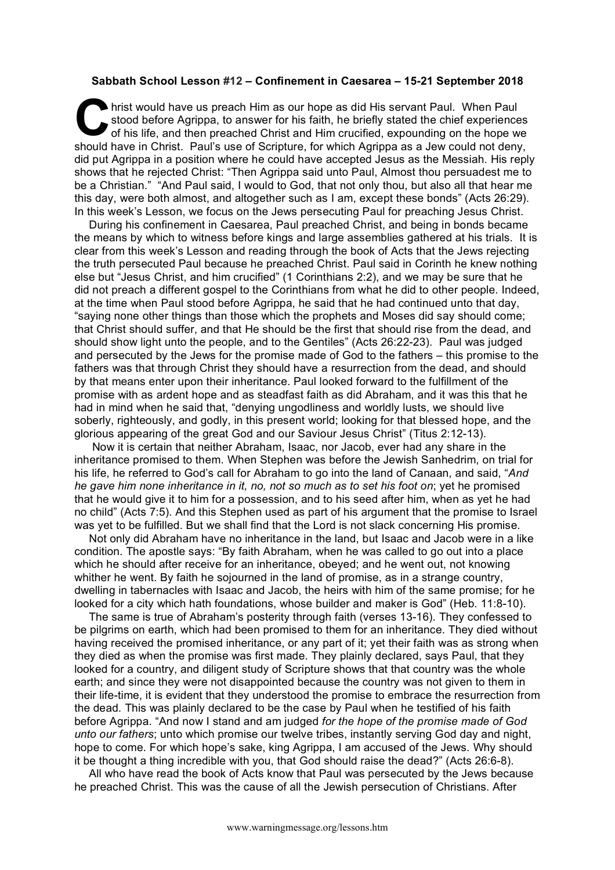## **Sabbath School Lesson #12 – Confinement in Caesarea – 15-21 September 2018**

hrist would have us preach Him as our hope as did His servant Paul. When Paul stood before Agrippa, to answer for his faith, he briefly stated the chief experiences of his life, and then preached Christ and Him crucified, expounding on the hope we should have in Christ. Paul's use of Scripture, for which Agrippa as a Jew could not deny, did put Agrippa in a position where he could have accepted Jesus as the Messiah. His reply shows that he rejected Christ: "Then Agrippa said unto Paul, Almost thou persuadest me to be a Christian." "And Paul said, I would to God, that not only thou, but also all that hear me this day, were both almost, and altogether such as I am, except these bonds" (Acts 26:29). In this week's Lesson, we focus on the Jews persecuting Paul for preaching Jesus Christ. C hriste

During his confinement in Caesarea, Paul preached Christ, and being in bonds became the means by which to witness before kings and large assemblies gathered at his trials. It is clear from this week's Lesson and reading through the book of Acts that the Jews rejecting the truth persecuted Paul because he preached Christ. Paul said in Corinth he knew nothing else but "Jesus Christ, and him crucified" (1 Corinthians 2:2), and we may be sure that he did not preach a different gospel to the Corinthians from what he did to other people. Indeed, at the time when Paul stood before Agrippa, he said that he had continued unto that day, "saying none other things than those which the prophets and Moses did say should come; that Christ should suffer, and that He should be the first that should rise from the dead, and should show light unto the people, and to the Gentiles" (Acts 26:22-23). Paul was judged and persecuted by the Jews for the promise made of God to the fathers – this promise to the fathers was that through Christ they should have a resurrection from the dead, and should by that means enter upon their inheritance. Paul looked forward to the fulfillment of the promise with as ardent hope and as steadfast faith as did Abraham, and it was this that he had in mind when he said that, "denying ungodliness and worldly lusts, we should live soberly, righteously, and godly, in this present world; looking for that blessed hope, and the glorious appearing of the great God and our Saviour Jesus Christ" (Titus 2:12-13).

Now it is certain that neither Abraham, Isaac, nor Jacob, ever had any share in the inheritance promised to them. When Stephen was before the Jewish Sanhedrim, on trial for his life, he referred to God's call for Abraham to go into the land of Canaan, and said, "*And he gave him none inheritance in it, no, not so much as to set his foot on*; yet he promised that he would give it to him for a possession, and to his seed after him, when as yet he had no child" (Acts 7:5). And this Stephen used as part of his argument that the promise to Israel was yet to be fulfilled. But we shall find that the Lord is not slack concerning His promise.

Not only did Abraham have no inheritance in the land, but Isaac and Jacob were in a like condition. The apostle says: "By faith Abraham, when he was called to go out into a place which he should after receive for an inheritance, obeyed; and he went out, not knowing whither he went. By faith he sojourned in the land of promise, as in a strange country, dwelling in tabernacles with Isaac and Jacob, the heirs with him of the same promise; for he looked for a city which hath foundations, whose builder and maker is God" (Heb. 11:8-10).

The same is true of Abraham's posterity through faith (verses 13-16). They confessed to be pilgrims on earth, which had been promised to them for an inheritance. They died without having received the promised inheritance, or any part of it; yet their faith was as strong when they died as when the promise was first made. They plainly declared, says Paul, that they looked for a country, and diligent study of Scripture shows that that country was the whole earth; and since they were not disappointed because the country was not given to them in their life-time, it is evident that they understood the promise to embrace the resurrection from the dead. This was plainly declared to be the case by Paul when he testified of his faith before Agrippa. "And now I stand and am judged *for the hope of the promise made of God unto our fathers*; unto which promise our twelve tribes, instantly serving God day and night, hope to come. For which hope's sake, king Agrippa, I am accused of the Jews. Why should it be thought a thing incredible with you, that God should raise the dead?" (Acts 26:6-8).

All who have read the book of Acts know that Paul was persecuted by the Jews because he preached Christ. This was the cause of all the Jewish persecution of Christians. After